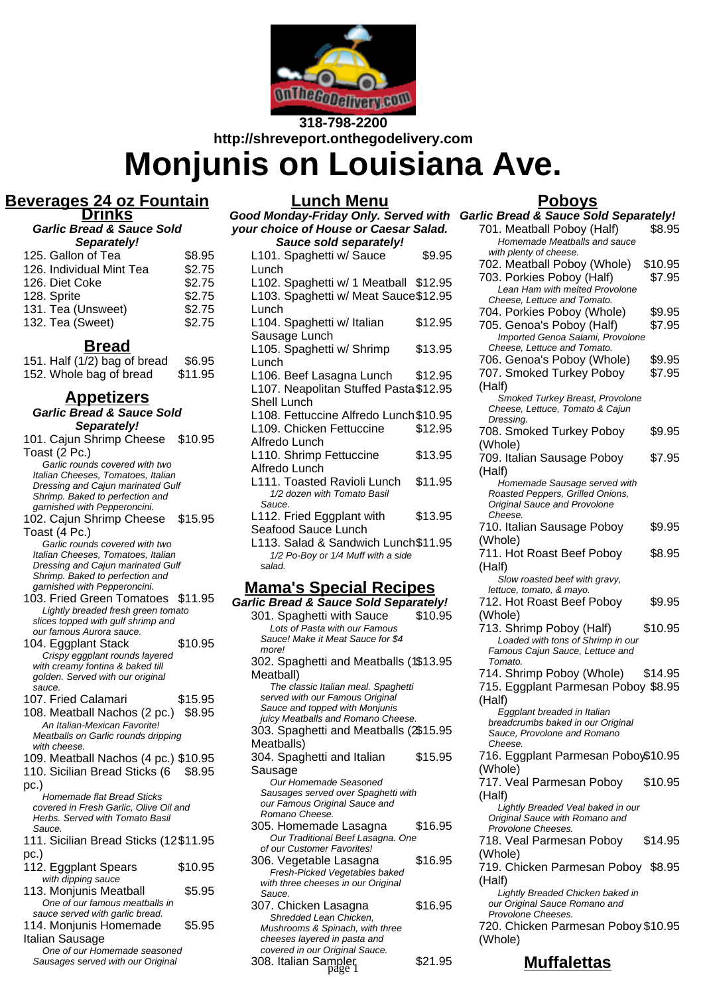

**318-798-2200 http://shreveport.onthegodelivery.com**

# **Monjunis on Louisiana Ave.**

**Lunch Menu**

#### **Beverages 24 oz Fountain Drinks**

**Garlic Bread & Sauce Sold Separately!**

| 125. Gallon of Tea       | \$8.95 |
|--------------------------|--------|
| 126. Individual Mint Tea | \$2.75 |
| 126. Diet Coke           | \$2.75 |
| 128. Sprite              | \$2.75 |
| 131. Tea (Unsweet)       | \$2.75 |
| 132. Tea (Sweet)         | \$2.75 |
|                          |        |

### **Bread**

151. Half (1/2) bag of bread \$6.95 152. Whole bag of bread \$11.95

# **Appetizers**

**Garlic Bread & Sauce Sold Separately!** 101. Cajun Shrimp Cheese \$10.95 Toast (2 Pc.) Garlic rounds covered with two Italian Cheeses, Tomatoes, Italian Dressing and Cajun marinated Gulf Shrimp. Baked to perfection and garnished with Pepperoncini. 102. Cajun Shrimp Cheese \$15.95 Toast (4 Pc.) Garlic rounds covered with two Italian Cheeses, Tomatoes, Italian Dressing and Cajun marinated Gulf Shrimp. Baked to perfection and garnished with Pepperoncini. 103. Fried Green Tomatoes \$11.95 Lightly breaded fresh green tomato slices topped with gulf shrimp and our famous Aurora sauce. 104. Eggplant Stack \$10.95 Crispy eggplant rounds layered with creamy fontina & baked till golden. Served with our original sauce. 107. Fried Calamari \$15.95 108. Meatball Nachos (2 pc.) \$8.95 An Italian-Mexican Favorite! Meatballs on Garlic rounds dripping with cheese. 109. Meatball Nachos (4 pc.) \$10.95 110. Sicilian Bread Sticks (6 \$8.95 pc.) Homemade flat Bread Sticks covered in Fresh Garlic, Olive Oil and Herbs. Served with Tomato Basil Sauce. 111. Sicilian Bread Sticks (12 \$11.95 pc.) 112. Eggplant Spears \$10.95 with dipping sauce 113. Monjunis Meatball \$5.95 One of our famous meatballs in sauce served with garlic bread. 114. Monjunis Homemade Italian Sausage \$5.95 One of our Homemade seasoned Sausages served with our Original

| <br>,<br>your choice of House or Caesar Salad. |         |
|------------------------------------------------|---------|
| Sauce sold separately!                         |         |
| L101. Spaghetti w/ Sauce                       | \$9.95  |
| Lunch                                          |         |
| L102. Spaghetti w/ 1 Meatball \$12.95          |         |
| L103. Spaghetti w/ Meat Sauce\$12.95           |         |
| Lunch                                          |         |
| L104. Spaghetti w/ Italian                     | \$12.95 |
| Sausage Lunch                                  |         |
| L105. Spaghetti w/ Shrimp                      | \$13.95 |
| Lunch                                          |         |
| L106. Beef Lasagna Lunch                       | \$12.95 |
| L107. Neapolitan Stuffed Pasta \$12.95         |         |
| Shell Lunch                                    |         |
| L108. Fettuccine Alfredo Lunch \$10.95         |         |
| L109. Chicken Fettuccine                       | \$12.95 |
| Alfredo Lunch                                  |         |
| L110. Shrimp Fettuccine                        | \$13.95 |
| Alfredo Lunch                                  |         |
| L111. Toasted Ravioli Lunch                    | \$11.95 |
| 1/2 dozen with Tomato Basil<br>Sauce.          |         |
| L112. Fried Eggplant with                      | \$13.95 |
| Seafood Sauce Lunch                            |         |
| L113. Salad & Sandwich Lunch\$11.95            |         |
| 1/2 Po-Boy or 1/4 Muff with a side             |         |
| salad.                                         |         |

# **Mama's Special Recipes**

| <b>Garlic Bread &amp; Sauce Sold Separately!</b>                |         |
|-----------------------------------------------------------------|---------|
| 301. Spaghetti with Sauce                                       | \$10.95 |
| Lots of Pasta with our Famous                                   |         |
| Sauce! Make it Meat Sauce for \$4                               |         |
| more!                                                           |         |
| 302. Spaghetti and Meatballs (1\$13.95                          |         |
| Meatball)                                                       |         |
| The classic Italian meal. Spaghetti                             |         |
| served with our Famous Original                                 |         |
| Sauce and topped with Monjunis                                  |         |
| juicy Meatballs and Romano Cheese.                              |         |
| 303. Spaghetti and Meatballs (2\$15.95                          |         |
| Meatballs)                                                      |         |
| 304. Spaghetti and Italian                                      | \$15.95 |
| Sausage                                                         |         |
| Our Homemade Seasoned                                           |         |
| Sausages served over Spaghetti with                             |         |
| our Famous Original Sauce and                                   |         |
| Romano Cheese.                                                  |         |
| 305. Homemade Lasagna                                           | \$16.95 |
| Our Traditional Beef Lasagna. One<br>of our Customer Favorites! |         |
| 306. Vegetable Lasagna                                          | \$16.95 |
| Fresh-Picked Vegetables baked                                   |         |
| with three cheeses in our Original                              |         |
| Sauce.                                                          |         |
| 307. Chicken Lasagna                                            | \$16.95 |
| Shredded Lean Chicken.                                          |         |
| Mushrooms & Spinach, with three                                 |         |
| cheeses layered in pasta and                                    |         |
| covered in our Original Sauce.                                  |         |
|                                                                 |         |

#### 308. Italian Sampler **\$21.95**

#### **Poboys**

| Good Monday-Friday Only. Served with                                 |         | <b>Garlic Bread &amp; Sauce Sold Separately!</b>                |         |
|----------------------------------------------------------------------|---------|-----------------------------------------------------------------|---------|
| your choice of House or Caesar Salad.                                |         | 701. Meatball Poboy (Half)                                      | \$8.95  |
| Sauce sold separately!                                               |         | Homemade Meatballs and sauce                                    |         |
| L101. Spaghetti w/ Sauce                                             | \$9.95  | with plenty of cheese.                                          |         |
| Lunch                                                                |         | 702. Meatball Poboy (Whole)                                     | \$10.95 |
| L102. Spaghetti w/ 1 Meatball \$12.95                                |         | 703. Porkies Poboy (Half)                                       | \$7.95  |
| L103. Spaghetti w/ Meat Sauce\$12.95                                 |         | Lean Ham with melted Provolone                                  |         |
| Lunch                                                                |         | Cheese, Lettuce and Tomato.                                     |         |
| L104. Spaghetti w/ Italian                                           | \$12.95 | 704. Porkies Poboy (Whole)                                      | \$9.95  |
| Sausage Lunch                                                        |         | 705. Genoa's Poboy (Half)                                       | \$7.95  |
| L105. Spaghetti w/ Shrimp                                            | \$13.95 | Imported Genoa Salami, Provolone<br>Cheese, Lettuce and Tomato. |         |
|                                                                      |         | 706. Genoa's Poboy (Whole)                                      | \$9.95  |
| Lunch                                                                |         | 707. Smoked Turkey Poboy                                        | \$7.95  |
| L106. Beef Lasagna Lunch                                             | \$12.95 | (Half)                                                          |         |
| L107. Neapolitan Stuffed Pasta \$12.95                               |         | Smoked Turkey Breast, Provolone                                 |         |
| Shell Lunch                                                          |         | Cheese, Lettuce, Tomato & Cajun                                 |         |
| L108. Fettuccine Alfredo Lunch \$10.95                               |         | Dressing.                                                       |         |
| L109. Chicken Fettuccine                                             | \$12.95 | 708. Smoked Turkey Poboy                                        | \$9.95  |
| Alfredo Lunch                                                        |         | (Whole)                                                         |         |
| L110. Shrimp Fettuccine                                              | \$13.95 | 709. Italian Sausage Poboy                                      | \$7.95  |
| Alfredo Lunch                                                        |         | (Half)                                                          |         |
| L111. Toasted Ravioli Lunch                                          | \$11.95 | Homemade Sausage served with                                    |         |
| 1/2 dozen with Tomato Basil                                          |         | Roasted Peppers, Grilled Onions,                                |         |
| Sauce.                                                               |         | Original Sauce and Provolone                                    |         |
| L112. Fried Eggplant with                                            | \$13.95 | Cheese.                                                         |         |
| Seafood Sauce Lunch                                                  |         | 710. Italian Sausage Poboy                                      | \$9.95  |
| L113. Salad & Sandwich Lunch\$11.95                                  |         | (Whole)                                                         |         |
| 1/2 Po-Boy or 1/4 Muff with a side                                   |         | 711. Hot Roast Beef Poboy                                       | \$8.95  |
| salad.                                                               |         | (Half)                                                          |         |
| <u>Mama's Special Recipes</u>                                        |         | Slow roasted beef with gravy,<br>lettuce, tomato, & mayo.       |         |
| <b>Garlic Bread &amp; Sauce Sold Separately!</b>                     |         | 712. Hot Roast Beef Poboy                                       | \$9.95  |
| 301. Spaghetti with Sauce                                            | \$10.95 | (Whole)                                                         |         |
| Lots of Pasta with our Famous                                        |         | 713. Shrimp Poboy (Half)                                        | \$10.95 |
| Sauce! Make it Meat Sauce for \$4                                    |         | Loaded with tons of Shrimp in our                               |         |
| more!                                                                |         | Famous Cajun Sauce, Lettuce and                                 |         |
| 302. Spaghetti and Meatballs (1\$13.95                               |         | Tomato.                                                         |         |
| Meatball)                                                            |         | 714. Shrimp Poboy (Whole)                                       | \$14.95 |
| The classic Italian meal. Spaghetti                                  |         | 715. Eggplant Parmesan Poboy \$8.95                             |         |
| served with our Famous Original                                      |         | (Half)                                                          |         |
| Sauce and topped with Monjunis<br>juicy Meatballs and Romano Cheese. |         | Eggplant breaded in Italian                                     |         |
| 303. Spaghetti and Meatballs (2\$15.95                               |         | breadcrumbs baked in our Original                               |         |
| Meatballs)                                                           |         | Sauce, Provolone and Romano<br>Cheese.                          |         |
| 304. Spaghetti and Italian                                           | \$15.95 | 716. Eggplant Parmesan Poboy\$10.95                             |         |
|                                                                      |         | (Whole)                                                         |         |
| Sausage<br>Our Homemade Seasoned                                     |         | 717. Veal Parmesan Poboy                                        | \$10.95 |
| Sausages served over Spaghetti with                                  |         |                                                                 |         |
| our Famous Original Sauce and                                        |         | (Half)<br>Lightly Breaded Veal baked in our                     |         |
| Romano Cheese.                                                       |         | Original Sauce with Romano and                                  |         |
| 305. Homemade Lasagna                                                | \$16.95 | Provolone Cheeses.                                              |         |
| Our Traditional Beef Lasagna. One                                    |         | 718. Veal Parmesan Poboy                                        | \$14.95 |
| of our Customer Favorites!                                           |         | (Whole)                                                         |         |
| 306. Vegetable Lasagna                                               | \$16.95 | 719. Chicken Parmesan Poboy                                     | \$8.95  |
| Fresh-Picked Vegetables baked<br>with three cheeses in our Original  |         | (Half)                                                          |         |
| Sauce.                                                               |         | Lightly Breaded Chicken baked in                                |         |
| 307. Chicken Lasagna                                                 | \$16.95 | our Original Sauce Romano and                                   |         |
| Shredded Lean Chicken,                                               |         | Provolone Cheeses.                                              |         |
| Mushrooms & Spinach, with three                                      |         | 720. Chicken Parmesan Poboy \$10.95                             |         |
| cheeses layered in pasta and<br>covered in our Original Sauce        |         | (Whole)                                                         |         |

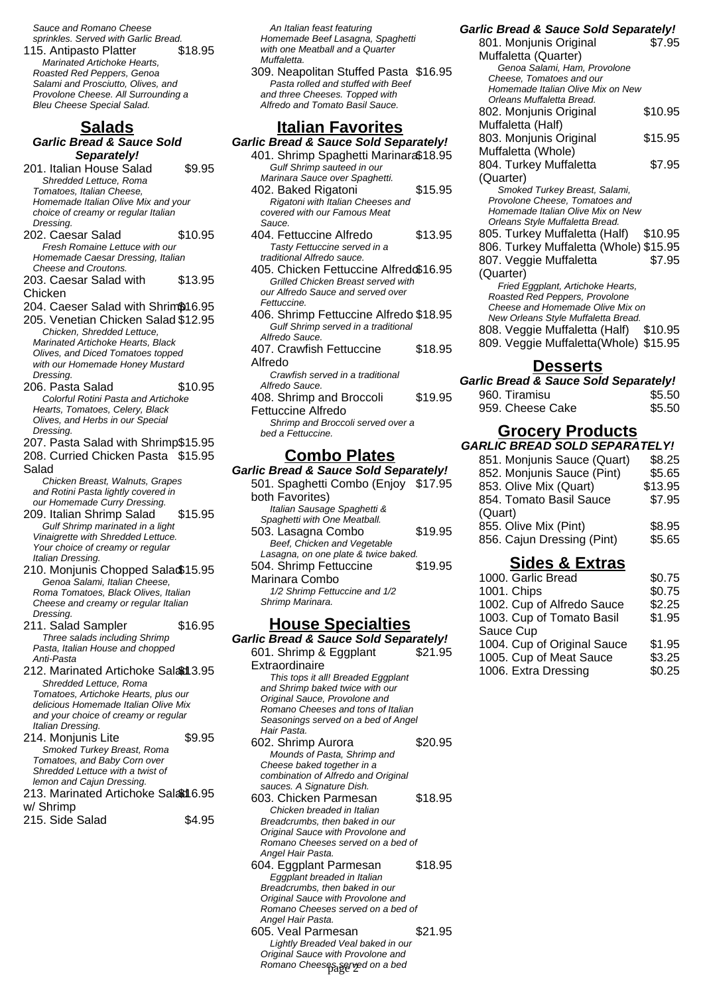Sauce and Romano Cheese sprinkles. Served with Garlic Bread.

115. Antipasto Platter \$18.95 Marinated Artichoke Hearts, Roasted Red Peppers, Genoa Salami and Prosciutto, Olives, and Provolone Cheese. All Surrounding a Bleu Cheese Special Salad.

# **Salads**

#### **Garlic Bread & Sauce Sold Separately!**

- 201. Italian House Salad \$9.95 Shredded Lettuce, Roma Tomatoes, Italian Cheese, Homemade Italian Olive Mix and your choice of creamy or regular Italian Dressing. 202. Caesar Salad \$10.95
- Fresh Romaine Lettuce with our Homemade Caesar Dressing, Italian Cheese and Croutons.
- 203. Caesar Salad with Chicken \$13.95
- 204. Caeser Salad with Shrim\$16.95
- 205. Venetian Chicken Salad \$12.95 Chicken, Shredded Lettuce, Marinated Artichoke Hearts, Black Olives, and Diced Tomatoes topped with our Homemade Honey Mustard Dressing. 206. Pasta Salad \$10.95
- Colorful Rotini Pasta and Artichoke Hearts, Tomatoes, Celery, Black Olives, and Herbs in our Special Dressing.
- 207. Pasta Salad with Shrimp\$15.95
- 208. Curried Chicken Pasta \$15.95 Salad

Chicken Breast, Walnuts, Grapes and Rotini Pasta lightly covered in our Homemade Curry Dressing.

- 209. Italian Shrimp Salad \$15.95 Gulf Shrimp marinated in a light Vinaigrette with Shredded Lettuce. Your choice of creamy or regular Italian Dressing.
- 210. Monjunis Chopped Salad\$15.95 Genoa Salami, Italian Cheese, Roma Tomatoes, Black Olives, Italian Cheese and creamy or regular Italian Dressing.
- 211. Salad Sampler \$16.95 Three salads including Shrimp Pasta, Italian House and chopped Anti-Pasta
- 212. Marinated Artichoke Saladd 3.95 Shredded Lettuce, Roma Tomatoes, Artichoke Hearts, plus our delicious Homemade Italian Olive Mix and your choice of creamy or regular Italian Dressing.
- 214. Monjunis Lite \$9.95 Smoked Turkey Breast, Roma Tomatoes, and Baby Corn over Shredded Lettuce with a twist of lemon and Cajun Dressing. 213. Marinated Artichoke Salad 6.95
- w/ Shrimp 215. Side Salad \$4.95

An Italian feast featuring Homemade Beef Lasagna, Spaghetti with one Meatball and a Quarter Muffaletta.

309. Neapolitan Stuffed Pasta \$16.95 Pasta rolled and stuffed with Beef and three Cheeses. Topped with Alfredo and Tomato Basil Sauce.

# **Italian Favorites**

| Garlic Bread & Sauce Sold Separately!  |         |
|----------------------------------------|---------|
| 401. Shrimp Spaghetti Marinara\$18.95  |         |
| Gulf Shrimp sauteed in our             |         |
| Marinara Sauce over Spaghetti.         |         |
| 402. Baked Rigatoni                    | \$15.95 |
| Rigatoni with Italian Cheeses and      |         |
| covered with our Famous Meat           |         |
| Sauce.                                 |         |
| 404. Fettuccine Alfredo                | \$13.95 |
| Tasty Fettuccine served in a           |         |
| traditional Alfredo sauce.             |         |
| 405. Chicken Fettuccine Alfredo\$16.95 |         |
| Grilled Chicken Breast served with     |         |
| our Alfredo Sauce and served over      |         |
| Fettuccine.                            |         |
| 406. Shrimp Fettuccine Alfredo \$18.95 |         |
| Gulf Shrimp served in a traditional    |         |
| Alfredo Sauce.                         |         |
| 407. Crawfish Fettuccine               | \$18.95 |
| Alfredo                                |         |
| Crawfish served in a traditional       |         |
| Alfredo Sauce.                         |         |
| 408. Shrimp and Broccoli               | \$19.95 |
| Fettuccine Alfredo                     |         |

Shrimp and Broccoli served over a bed a Fettuccine.

# **Combo Plates**

**Garlic Bread & Sauce Sold Separately!** 501. Spaghetti Combo (Enjoy \$17.95 both Favorites) Italian Sausage Spaghetti & Spaghetti with One Meatball. 503. Lasagna Combo \$19.95 Beef, Chicken and Vegetable Lasagna, on one plate & twice baked. 504. Shrimp Fettuccine Marinara Combo \$19.95 1/2 Shrimp Fettuccine and 1/2 Shrimp Marinara.

#### **House Specialties**

**Garlic Bread & Sauce Sold Separately!** 601. Shrimp & Eggplant Extraordinaire \$21.95 This tops it all! Breaded Eggplant and Shrimp baked twice with our Original Sauce, Provolone and Romano Cheeses and tons of Italian Seasonings served on a bed of Angel Hair Pasta. 602. Shrimp Aurora \$20.95 Mounds of Pasta, Shrimp and Cheese baked together in a combination of Alfredo and Original sauces. A Signature Dish. 603. Chicken Parmesan \$18.95 Chicken breaded in Italian Breadcrumbs, then baked in our Original Sauce with Provolone and Romano Cheeses served on a bed of Angel Hair Pasta. 604. Eggplant Parmesan \$18.95 Eggplant breaded in Italian Breadcrumbs, then baked in our Original Sauce with Provolone and Romano Cheeses served on a bed of Angel Hair Pasta. 605. Veal Parmesan \$21.95 Lightly Breaded Veal baked in our Original Sauce with Provolone and Romano Cheeses served on a bed

| <b>Garlic Bread &amp; Sauce Sold Separately!</b> |         |
|--------------------------------------------------|---------|
| 801. Monjunis Original                           | \$7.95  |
| Muffaletta (Quarter)                             |         |
| Genoa Salami, Ham, Provolone                     |         |
| Cheese, Tomatoes and our                         |         |
| Homemade Italian Olive Mix on New                |         |
| Orleans Muffaletta Bread.                        |         |
| 802. Monjunis Original                           | \$10.95 |
| Muffaletta (Half)                                |         |
| 803. Monjunis Original                           | \$15.95 |
| Muffaletta (Whole)                               |         |
| 804. Turkey Muffaletta                           | \$7.95  |
| (Quarter)                                        |         |
| Smoked Turkey Breast, Salami,                    |         |
| Provolone Cheese, Tomatoes and                   |         |
| Homemade Italian Olive Mix on New                |         |
| Orleans Style Muffaletta Bread.                  |         |
| 805. Turkey Muffaletta (Half)                    | \$10.95 |
| 806. Turkey Muffaletta (Whole) \$15.95           |         |
| 807. Veggie Muffaletta                           | \$7.95  |
| (Quarter)                                        |         |
| Fried Eggplant, Artichoke Hearts,                |         |
| Roasted Red Peppers, Provolone                   |         |
| Cheese and Homemade Olive Mix on                 |         |
| New Orleans Style Muffaletta Bread.              |         |
| 808. Veggie Muffaletta (Half)                    | \$10.95 |

809. Veggie Muffaletta(Whole) \$15.95

### **Desserts**

| <b>Garlic Bread &amp; Sauce Sold Separately!</b> |        |
|--------------------------------------------------|--------|
| 960. Tiramisu                                    | \$5.50 |
| 959. Cheese Cake                                 | \$5.50 |

### **Grocery Products**

| <b>GARLIC BREAD SOLD SEPARATELY!</b> |         |
|--------------------------------------|---------|
| 851. Monjunis Sauce (Quart)          | \$8.25  |
| 852. Monjunis Sauce (Pint)           | \$5.65  |
| 853. Olive Mix (Quart)               | \$13.95 |
| 854. Tomato Basil Sauce              | \$7.95  |
| (Quart)                              |         |
| 855. Olive Mix (Pint)                | \$8.95  |
| 856. Cajun Dressing (Pint)           | \$5.65  |
|                                      |         |

## **Sides & Extras**

| 1000. Garlic Bread          | \$0.75 |
|-----------------------------|--------|
| 1001. Chips                 | \$0.75 |
| 1002. Cup of Alfredo Sauce  | \$2.25 |
| 1003. Cup of Tomato Basil   | \$1.95 |
| Sauce Cup                   |        |
| 1004. Cup of Original Sauce | \$1.95 |
| 1005. Cup of Meat Sauce     | \$3.25 |
| 1006. Extra Dressing        | \$0.25 |